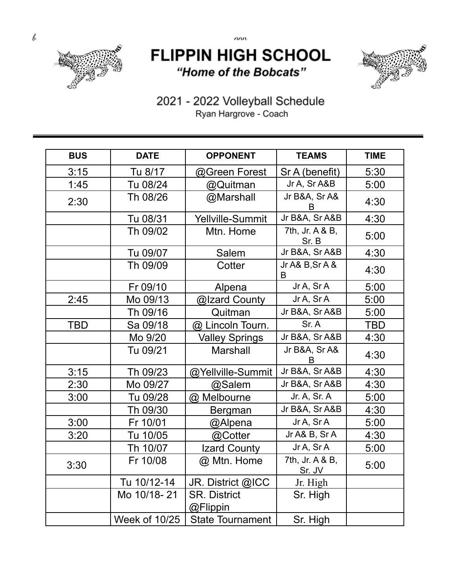

## **FLIPPIN HIGH SCHOOL** "Home of the Bobcats"



2021 - 2022 Volleyball Schedule Ryan Hargrove - Coach

| <b>BUS</b> | <b>DATE</b>   | <b>OPPONENT</b>                 | <b>TEAMS</b>              | <b>TIME</b> |
|------------|---------------|---------------------------------|---------------------------|-------------|
| 3:15       | Tu 8/17       | @Green Forest                   | Sr A (benefit)            | 5:30        |
| 1:45       | Tu 08/24      | @Quitman                        | Jr A, Sr A&B              | 5:00        |
| 2:30       | Th 08/26      | @Marshall                       | Jr B&A, Sr A&<br>B        | 4:30        |
|            | Tu 08/31      | <b>Yellville-Summit</b>         | Jr B&A, Sr A&B            | 4:30        |
|            | Th 09/02      | Mtn. Home                       | 7th, Jr. A & B,<br>Sr. B  | 5:00        |
|            | Tu 09/07      | Salem                           | Jr B&A, Sr A&B            | 4:30        |
|            | Th 09/09      | Cotter                          | Jr A& B, Sr A &<br>B      | 4:30        |
|            | Fr 09/10      | Alpena                          | Jr A, Sr A                | 5:00        |
| 2:45       | Mo 09/13      | @Izard County                   | Jr A, Sr A                | 5:00        |
|            | Th 09/16      | Quitman                         | Jr B&A, Sr A&B            | 5:00        |
| <b>TBD</b> | Sa 09/18      | @ Lincoln Tourn.                | Sr. A                     | <b>TBD</b>  |
|            | Mo 9/20       | <b>Valley Springs</b>           | Jr B&A, Sr A&B            | 4:30        |
|            | Tu 09/21      | <b>Marshall</b>                 | Jr B&A, Sr A&<br>В        | 4:30        |
| 3:15       | Th 09/23      | @Yellville-Summit               | Jr B&A, Sr A&B            | 4:30        |
| 2:30       | Mo 09/27      | @Salem                          | Jr B&A, Sr A&B            | 4:30        |
| 3:00       | Tu 09/28      | @ Melbourne                     | Jr. A, Sr. A              | 5:00        |
|            | Th 09/30      | <b>Bergman</b>                  | Jr B&A, Sr A&B            | 4:30        |
| 3:00       | Fr 10/01      | @Alpena                         | Jr A, Sr A                | 5:00        |
| 3:20       | Tu 10/05      | @Cotter                         | Jr A& B, Sr A             | 4:30        |
|            | Th 10/07      | Izard County                    | Jr A, Sr A                | 5:00        |
| 3:30       | Fr 10/08      | @ Mtn. Home                     | 7th, Jr. A & B,<br>Sr. JV | 5:00        |
|            | Tu 10/12-14   | JR. District @ICC               | Jr. High                  |             |
|            | Mo 10/18-21   | <b>SR. District</b><br>@Flippin | Sr. High                  |             |
|            | Week of 10/25 | <b>State Tournament</b>         | Sr. High                  |             |